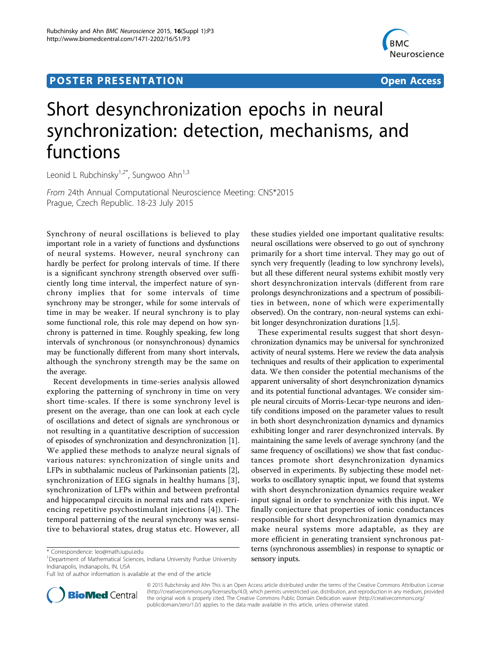## **POSTER PRESENTATION CONSUMING THE SERVICE SERVICE SERVICES**



# Short desynchronization epochs in neural synchronization: detection, mechanisms, and functions

Leonid L Rubchinsky $1.2^*$ , Sungwoo Ahn $1.3$ 

From 24th Annual Computational Neuroscience Meeting: CNS\*2015 Prague, Czech Republic. 18-23 July 2015

Synchrony of neural oscillations is believed to play important role in a variety of functions and dysfunctions of neural systems. However, neural synchrony can hardly be perfect for prolong intervals of time. If there is a significant synchrony strength observed over sufficiently long time interval, the imperfect nature of synchrony implies that for some intervals of time synchrony may be stronger, while for some intervals of time in may be weaker. If neural synchrony is to play some functional role, this role may depend on how synchrony is patterned in time. Roughly speaking, few long intervals of synchronous (or nonsynchronous) dynamics may be functionally different from many short intervals, although the synchrony strength may be the same on the average.

Recent developments in time-series analysis allowed exploring the patterning of synchrony in time on very short time-scales. If there is some synchrony level is present on the average, than one can look at each cycle of oscillations and detect of signals are synchronous or not resulting in a quantitative description of succession of episodes of synchronization and desynchronization [\[1](#page-1-0)]. We applied these methods to analyze neural signals of various natures: synchronization of single units and LFPs in subthalamic nucleus of Parkinsonian patients [\[2](#page-1-0)], synchronization of EEG signals in healthy humans [[3](#page-1-0)], synchronization of LFPs within and between prefrontal and hippocampal circuits in normal rats and rats experiencing repetitive psychostimulant injections [[4](#page-1-0)]). The temporal patterning of the neural synchrony was sensitive to behavioral states, drug status etc. However, all

these studies yielded one important qualitative results: neural oscillations were observed to go out of synchrony primarily for a short time interval. They may go out of synch very frequently (leading to low synchrony levels), but all these different neural systems exhibit mostly very short desynchronization intervals (different from rare prolongs desynchronizations and a spectrum of possibilities in between, none of which were experimentally observed). On the contrary, non-neural systems can exhibit longer desynchronization durations [\[1,5\]](#page-1-0).

These experimental results suggest that short desynchronization dynamics may be universal for synchronized activity of neural systems. Here we review the data analysis techniques and results of their application to experimental data. We then consider the potential mechanisms of the apparent universality of short desynchronization dynamics and its potential functional advantages. We consider simple neural circuits of Morris-Lecar-type neurons and identify conditions imposed on the parameter values to result in both short desynchronization dynamics and dynamics exhibiting longer and rarer desynchronized intervals. By maintaining the same levels of average synchrony (and the same frequency of oscillations) we show that fast conductances promote short desynchronization dynamics observed in experiments. By subjecting these model networks to oscillatory synaptic input, we found that systems with short desynchronization dynamics require weaker input signal in order to synchronize with this input. We finally conjecture that properties of ionic conductances responsible for short desynchronization dynamics may make neural systems more adaptable, as they are more efficient in generating transient synchronous patterns (synchronous assemblies) in response to synaptic or sensory inputs.



© 2015 Rubchinsky and Ahn This is an Open Access article distributed under the terms of the Creative Commons Attribution License [\(http://creativecommons.org/licenses/by/4.0](http://creativecommons.org/licenses/by/4.0)), which permits unrestricted use, distribution, and reproduction in any medium, provided the original work is properly cited. The Creative Commons Public Domain Dedication waiver ([http://creativecommons.org/](http://creativecommons.org/publicdomain/zero/1.0/) [publicdomain/zero/1.0/](http://creativecommons.org/publicdomain/zero/1.0/)) applies to the data made available in this article, unless otherwise stated.

<sup>\*</sup> Correspondence: [leo@math.iupui.edu](mailto:leo@math.iupui.edu)

<sup>&</sup>lt;sup>1</sup>Department of Mathematical Sciences, Indiana University Purdue University Indianapolis, Indianapolis, IN, USA

Full list of author information is available at the end of the article